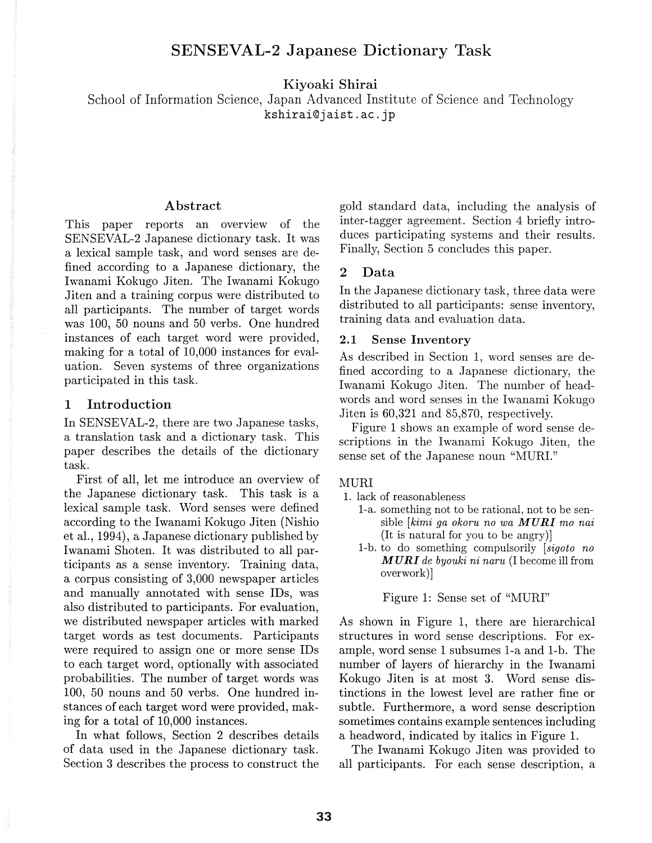# SENSEVAL-2 Japanese Dictionary Task

Kiyoaki Shirai

School of Information Science, Japan Advanced Institute of Science and Technology kshirai@jaist.ac.jp

#### Abstract

This paper reports an overview of the SENSEVAL-2 Japanese dictionary task. It was a lexical sample task, and word senses are defined according to a Japanese dictionary, the Iwanami Kokugo Jiten. The Iwanami Kokugo Jiten and a training corpus were distributed to all participants. The number of target words was 100, 50 nouns and 50 verbs. One hundred instances of each target word were provided, making for a total of 10,000 instances for evaluation. Seven systems of three organizations participated in this task.

# 1 Introduction

In SENSEVAL-2, there are two Japanese tasks, a translation task and a dictionary task. This paper describes the details of the dictionary task.

First of all, let me introduce an overview of the Japanese dictionary task. This task is a lexical sample task. Word senses were defined according to the Iwanami Kokugo Jiten (Nishio et aL, 1994), a Japanese dictionary published by Iwanami Shoten. It was distributed to all participants as a sense inventory. Training data, a corpus consisting of 3,000 newspaper articles and manually annotated with sense IDs, was also distributed to participants. For evaluation, we distributed newspaper articles with marked target words as test documents. Participants were required to assign one or more sense IDs to each target word, optionally with associated probabilities. The number of target words was 100, 50 nouns and 50 verbs. One hundred instances of each target word were provided, making for a total of 10,000 instances.

In what follows, Section 2 describes details of data used in the Japanese dictionary task. Section 3 describes the process to construct the gold standard data, including the analysis of inter-tagger agreement. Section 4 briefly introduces participating systems and their results. Finally, Section 5 concludes this paper.

### 2 Data

In the Japanese dictionary task, three data were distributed to all participants: sense inventory, training data and evaluation data.

### 2.1 Sense Inventory

As described in Section 1, word senses are defined according to a Japanese dictionary, the Iwanami Kokugo Jiten. The number of headwords and word senses in the Iwanami Kokugo Jiten is 60,321 and 85,870, respectively.

Figure 1 shows an example of word sense descriptions in the Iwanami Kokugo Jiten, the sense set of the Japanese noun "MURI."

### MURI

- 1. lack of reasonableness
	- 1-a. something not to be rational, not to be sensible *[kimi ga okoru no wa MURI mo nai*  (It is natural for you to be angry)]
	- 1-b. to do something compulsorily [ *sigoto no MURI de byouki ni naru* (I become ill from overwork)]

Figure 1: Sense set of "MURI"

As shown in Figure 1, there are hierarchical structures in word sense descriptions. For example, word sense 1 subsumes 1-a and 1-b. The number of layers of hierarchy in the Iwanami Kokugo Jiten is at most 3. Word sense distinctions in the lowest level are rather fine or subtle. Furthermore, a word sense description sometimes contains example sentences including a headword, indicated by italics in Figure 1.

The Iwanami Kokugo Jiten was provided to all participants. For each sense description, a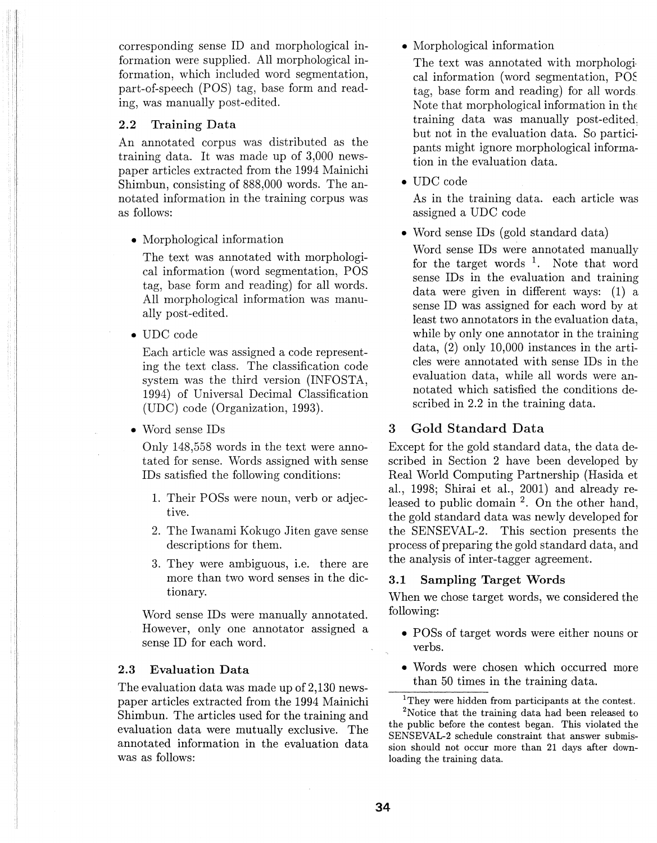corresponding sense ID and morphological information were supplied. All morphological information, which included word segmentation, part-of-speech (POS) tag, base form and reading, was manually post-edited.

### **2.2 Training Data**

An annotated corpus was distributed as the training data. It was made up of 3,000 newspaper articles extracted from the 1994 Mainichi Shimbun, consisting of 888,000 words. The annotated information in the training corpus was as follows:

• Morphological information

The text was annotated with morphological information (word segmentation, POS tag, base form and reading) for all words. All morphological information was manually post-edited.

• UDC code

Each article was assigned a code representing the text class. The classification code system was the third version (INFOSTA, 1994) of Universal Decimal Classification (UDC) code (Organization, 1993).

• Word sense IDs

Only 148,558 words in the text were annotated for sense. Words assigned with sense IDs satisfied the following conditions:

- 1. Their FOSs were noun, verb or adjective.
- 2. The Iwanami Kokugo Jiten gave sense descriptions for them.
- 3. They were ambiguous, i.e. there are more than two word senses in the dictionary.

Word sense IDs were manually annotated. However, only one annotator assigned a sense ID for each word.

## **2.3 Evaluation Data**

The evaluation data was made up of 2,130 newspaper articles extracted from the 1994 Mainichi Shimbun. The articles used for the training and evaluation data were mutually exclusive. The annotated information in the evaluation data was as follows:

• Morphological information

The text was annotated with morphological information (word segmentation, POE tag, base form and reading) for all words Note that morphological information in the training data was manually post-edited: but not in the evaluation data. So participants might ignore morphological information in the evaluation data.

• UDC code

As in the training data. each article was assigned a UDC code

• Word sense IDs (gold standard data)

Word sense IDs were annotated manually for the target words  $1$ . Note that word sense IDs in the evaluation and training data were given in different ways: (1) a sense ID was assigned for each word by at least two annotators in the evaluation data, while by only one annotator in the training data, (2) only 10,000 instances in the articles were annotated with sense IDs in the evaluation data, while all words were annotated which satisfied the conditions described in 2.2 in the training data.

# **3 Gold Standard Data**

Except for the gold standard data, the data described in Section 2 have been developed by Real World Computing Partnership (Hasida et al., 1998; Shirai et al., 2001) and already released to public domain  $^2$ . On the other hand, the gold standard data was newly developed for the SENSEVAL-2. This section presents the process of preparing the gold standard data, and the analysis of inter-tagger agreement.

# **3.1 Sampling Target Words**

When we chose target words, we considered the following:

- POSs of target words were either nouns or verbs.
- Words were chosen which occurred more than 50 times in the training data.
- <sup>1</sup>They were hidden from participants at the contest.

<sup>2</sup>Notice that the training data had been released to the public before the contest began. This violated the SENSEVAL-2 schedule constraint that answer submission should not occur more than 21 days after downloading the training data.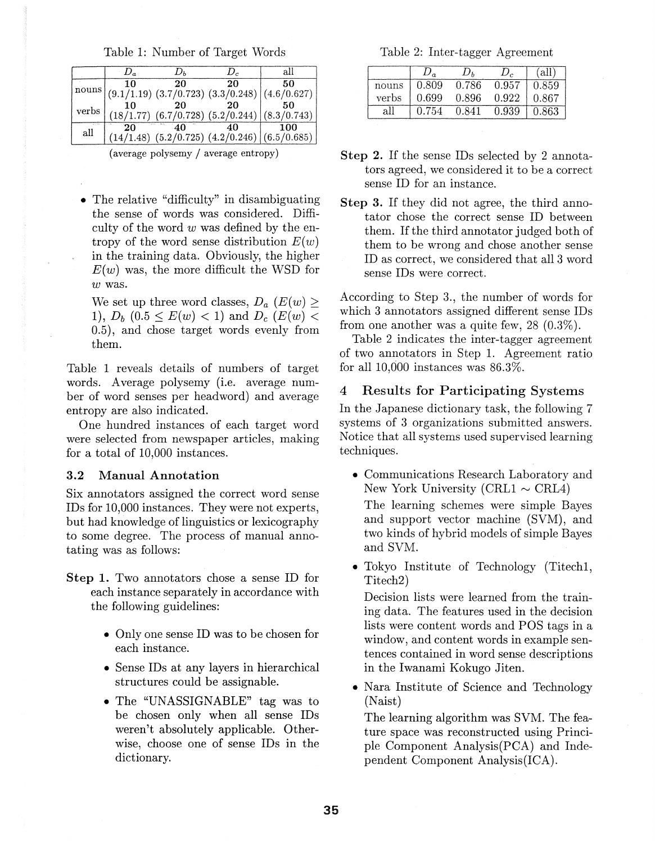Table 1: Number of Target Words

|               | $D_a$ | $D_{h}$ | D,                                                     | all |
|---------------|-------|---------|--------------------------------------------------------|-----|
| nouns         | 10    | -20     | 20                                                     | 50  |
|               |       |         | $(9.1/1.19)$ $(3.7/0.723)$ $(3.3/0.248)$ $(4.6/0.627)$ |     |
| verbs         | 10    | 20      | 20                                                     | 50  |
|               |       |         | $(18/1.77)$ $(6.7/0.728)$ $(5.2/0.244)$ $(8.3/0.743)$  |     |
| $-198$<br>all | 20    | 40      | 40                                                     | 100 |
|               |       |         | $(14/1.48)$ $(5.2/0.725)$ $(4.2/0.246)$ $(6.5/0.685)$  |     |
|               |       |         |                                                        |     |

(average polysemy / average entropy)

• The relative "difficulty" in disambiguating the sense of words was considered. Difficulty of the word *w* was defined by the entropy of the word sense distribution  $E(w)$ in the training data. Obviously, the higher  $E(w)$  was, the more difficult the WSD for  $w$  was.

We set up three word classes,  $D_a$   $(E(w) \geq$ 1),  $D_b$   $(0.5 \le E(w) < 1)$  and  $D_c$   $(E(w) <$ 0.5), and chose target words evenly from them.

Table 1 reveals details of numbers of target words. Average polysemy (i.e. average number of word senses per headword) and average entropy are also indicated.

One hundred instances of each target word were selected from newspaper articles, making for a total of 10,000 instances.

## 3.2 Manual Annotation

Six annotators assigned the correct word sense IDs for 10,000 instances. They were not experts, but had knowledge of linguistics or lexicography to some degree. The process of manual annotating was as follows:

- Step 1. Two annotators chose a sense ID for each instance separately in accordance with the following guidelines:
	- Only one sense ID was to be chosen for each instance.
	- Sense IDs at any layers in hierarchical structures could be assignable.
	- The "UNASSIGNABLE" tag was to be chosen only when all sense IDs weren't absolutely applicable. Otherwise, choose one of sense IDs in the dictionary.

Table 2: Inter-tagger Agreement

|       |       | $\bm{U}_h$ |       | . all' |
|-------|-------|------------|-------|--------|
| nouns | 0.809 | 0.786      | 0.957 | 0.859  |
| verbs | 0.699 | 0.896      | 0.922 | 0.867  |
|       | 0.754 | 0.841      | 0.939 | 0.863  |

- Step 2. If the sense IDs selected by 2 annotators agreed, we considered it to be a correct sense ID for an instance.
- Step 3. If they did not agree, the third annotator chose the correct sense ID between them. If the third annotator judged both of them to be wrong and chose another sense ID as correct, we considered that all 3 word sense IDs were correct.

According to Step 3., the number of words for which 3 annotators assigned different sense IDs from one another was a quite few, 28 (0.3%).

Table 2 indicates the inter-tagger agreement of two annotators in Step 1. Agreement ratio for all  $10,000$  instances was  $86.3\%$ .

## 4 Results for Participating Systems

In the Japanese dictionary task, the following 7 systems of 3 organizations submitted answers. Notice that all systems used supervised learning techniques.

- Communications Research Laboratory and New York University (CRL1  $\sim$  CRL4) The learning schemes were simple Bayes and support vector machine (SVM), and two kinds of hybrid models of simple Bayes and SVM.
- Tokyo Institute of Technology (Titech1, Titech2)

Decision lists were learned from the training data. The features used in the decision lists were content words and POS tags in a window, and content words in example sentences contained in word sense descriptions in the Iwanami Kokugo Jiten.

• Nara Institute of Science and Technology (Naist)

The learning algorithm was SVM. The feature space was reconstructed using Principle Component Analysis(PCA) and Independent Component Analysis(ICA).